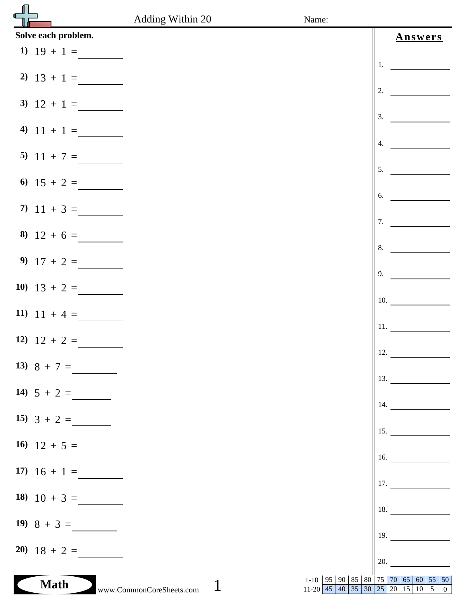|                     | Adding Within 20                         | Name:                             |     |                                  |         |  |
|---------------------|------------------------------------------|-----------------------------------|-----|----------------------------------|---------|--|
| Solve each problem. |                                          |                                   |     |                                  | Answers |  |
| 1) $19 + 1 =$       |                                          |                                   |     |                                  |         |  |
| 2) $13 + 1 =$       |                                          |                                   | 1.  |                                  |         |  |
|                     |                                          |                                   | 2.  |                                  |         |  |
| 3) $12 + 1 =$       |                                          |                                   | 3.  |                                  |         |  |
| 4) $11 + 1 =$       |                                          |                                   |     |                                  |         |  |
| 5) $11 + 7 =$       |                                          |                                   | 4.  |                                  |         |  |
|                     |                                          |                                   | 5.  |                                  |         |  |
| 6) $15 + 2 =$       |                                          |                                   | 6.  |                                  |         |  |
| 7) $11 + 3 =$       |                                          |                                   |     |                                  |         |  |
|                     |                                          |                                   | 7.  |                                  |         |  |
| 8) $12 + 6 =$       |                                          |                                   | 8.  |                                  |         |  |
| 9) $17 + 2 =$       |                                          |                                   | 9.  |                                  |         |  |
| 10) $13 + 2 =$      |                                          |                                   |     |                                  |         |  |
|                     |                                          |                                   | 10. |                                  |         |  |
| 11) $11 + 4 =$      |                                          |                                   | 11. |                                  |         |  |
| 12) $12 + 2 =$      |                                          |                                   |     |                                  |         |  |
| 13) $8 + 7 =$       |                                          |                                   | 12. |                                  |         |  |
|                     |                                          |                                   |     | 13.                              |         |  |
| 14) $5 + 2 =$       |                                          |                                   | 14. |                                  |         |  |
| 15) $3 + 2 =$       |                                          |                                   |     |                                  |         |  |
| 16) $12 + 5 =$      |                                          |                                   |     | 15.                              |         |  |
|                     |                                          |                                   |     | 16.                              |         |  |
| 17) $16 + 1 =$      |                                          |                                   |     | 17.                              |         |  |
| 18) $10 + 3 =$      |                                          |                                   |     |                                  |         |  |
|                     |                                          |                                   | 18. |                                  |         |  |
| 19) $8 + 3 =$       |                                          |                                   | 19. |                                  |         |  |
| $20 \quad 18 + 2 =$ |                                          |                                   | 20. |                                  |         |  |
|                     |                                          | $1-10$   95   90<br>85            |     | 80   75   70   65   60   55   50 |         |  |
| <b>Math</b>         | $\mathbf{1}$<br>www.CommonCoreSheets.com | 11-20 45 40 35 30 25 20 15 10 5 0 |     |                                  |         |  |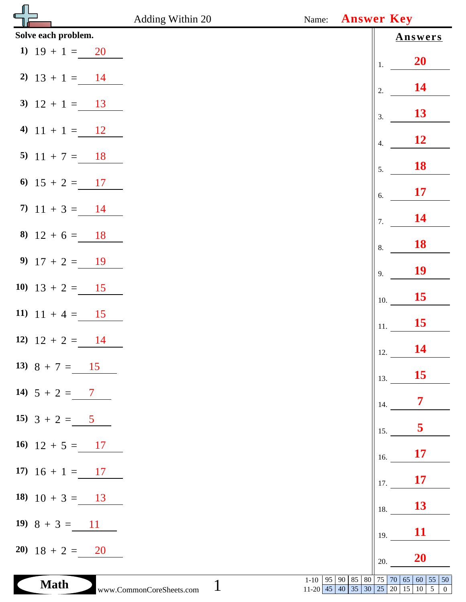|                        | Adding Within 20<br>Name:                      | <b>Answer Key</b>                       |                                                               |
|------------------------|------------------------------------------------|-----------------------------------------|---------------------------------------------------------------|
| Solve each problem.    |                                                |                                         | <b>Answers</b>                                                |
| 1) $19 + 1 = 20$       |                                                | 1.                                      | <b>20</b>                                                     |
| 2) $13 + 1 = 14$       |                                                | 2.                                      | <b>14</b>                                                     |
| 3) $12 + 1 = 13$       |                                                | 3.                                      | 13                                                            |
| 4) $11 + 1 = 12$       |                                                | $\overline{4}$ .                        | <b>12</b>                                                     |
| 5) $11 + 7 = 18$       |                                                | 5.                                      | <b>18</b>                                                     |
| 6) $15 + 2 = 17$       |                                                | 6.                                      | <b>17</b>                                                     |
| 7) $11 + 3 = 14$       |                                                | 7.                                      | 14                                                            |
| 8) $12 + 6 = 18$       |                                                | 8.                                      | <b>18</b>                                                     |
| 9) $17 + 2 = 19$       |                                                | 9.                                      | <b>19</b>                                                     |
| 10) $13 + 2 = 15$      |                                                | 10.                                     | 15                                                            |
| 11) $11 + 4 = 15$      |                                                | 11.                                     | 15                                                            |
| 12) $12 + 2 = 14$      |                                                | 12.                                     | <b>14</b>                                                     |
| 13) $8 + 7 = 15$       |                                                | 13.                                     | <b>15</b>                                                     |
| 14) $5 + 2 = 7$        |                                                | 14.                                     | $\overline{7}$                                                |
| 15) $3 + 2 = 5$        |                                                | 15.                                     | 5                                                             |
| 16) $12 + 5 = 17$      |                                                | 16.                                     | <b>17</b>                                                     |
| 17) $16 + 1 = 17$      |                                                | 17.                                     | <b>17</b>                                                     |
| 18) $10 + 3 = 13$      |                                                | 18.                                     | 13                                                            |
| 19) $8 + 3 = 11$       |                                                | 19.                                     | <b>11</b>                                                     |
| $20 \quad 18 + 2 = 20$ |                                                | 20.                                     | 20                                                            |
| <b>Math</b>            | $1-10$   95   90  <br>www.CommonCoreSheets.com | 85 80<br> 75 70 <br>$11-20$ 45 40 35 30 | 65<br>$60 \mid 55 \mid 50$<br>$25$ 20 15 10 5<br>$\mathbf{0}$ |